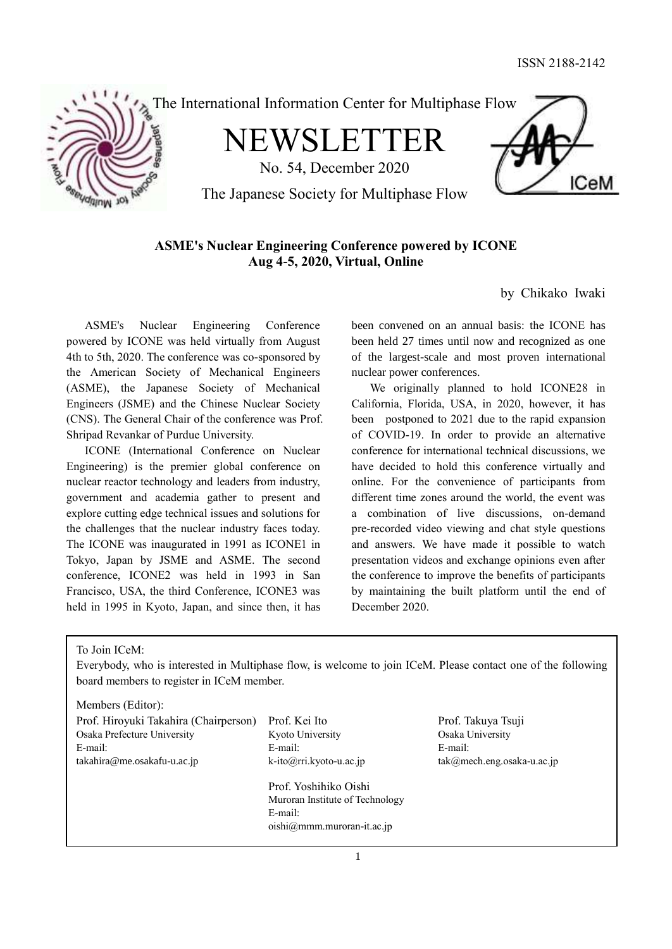**ICeM** 



# **ASME's Nuclear Engineering Conference powered by ICONE Aug 4-5, 2020, Virtual, Online**

by Chikako Iwaki

ASME's Nuclear Engineering Conference powered by ICONE was held virtually from August 4th to 5th, 2020. The conference was co-sponsored by the American Society of Mechanical Engineers (ASME), the Japanese Society of Mechanical Engineers (JSME) and the Chinese Nuclear Society (CNS). The General Chair of the conference was Prof. Shripad Revankar of Purdue University.

ICONE (International Conference on Nuclear Engineering) is the premier global conference on nuclear reactor technology and leaders from industry, government and academia gather to present and explore cutting edge technical issues and solutions for the challenges that the nuclear industry faces today. The ICONE was inaugurated in 1991 as ICONE1 in Tokyo, Japan by JSME and ASME. The second conference, ICONE2 was held in 1993 in San Francisco, USA, the third Conference, ICONE3 was held in 1995 in Kyoto, Japan, and since then, it has been convened on an annual basis: the ICONE has been held 27 times until now and recognized as one of the largest-scale and most proven international nuclear power conferences.

We originally planned to hold ICONE28 in California, Florida, USA, in 2020, however, it has been postponed to 2021 due to the rapid expansion of COVID-19. In order to provide an alternative conference for international technical discussions, we have decided to hold this conference virtually and online. For the convenience of participants from different time zones around the world, the event was a combination of live discussions, on-demand pre-recorded video viewing and chat style questions and answers. We have made it possible to watch presentation videos and exchange opinions even after the conference to improve the benefits of participants by maintaining the built platform until the end of December 2020.

To Join ICeM:

Everybody, who is interested in Multiphase flow, is welcome to join ICeM. Please contact one of the following board members to register in ICeM member.

Members (Editor):

| Prof. Hiroyuki Takahira (Chairperson) | Prof. Kei Ito                   | Prof. Takuya Tsuji            |
|---------------------------------------|---------------------------------|-------------------------------|
| Osaka Prefecture University           | Kyoto University                | Osaka University              |
| E-mail:                               | E-mail:                         | E-mail:                       |
| takahira@me.osakafu-u.ac.jp           | $k$ -ito $@$ rri.kyoto-u.ac.jp  | $tak@mech.eng. osaka-u.ac.jp$ |
|                                       | Prof. Yoshihiko Oishi           |                               |
|                                       | Muroran Institute of Technology |                               |
|                                       | E-mail:                         |                               |
|                                       | $oishi@mmm.muroran-it.ac.jp$    |                               |
|                                       |                                 |                               |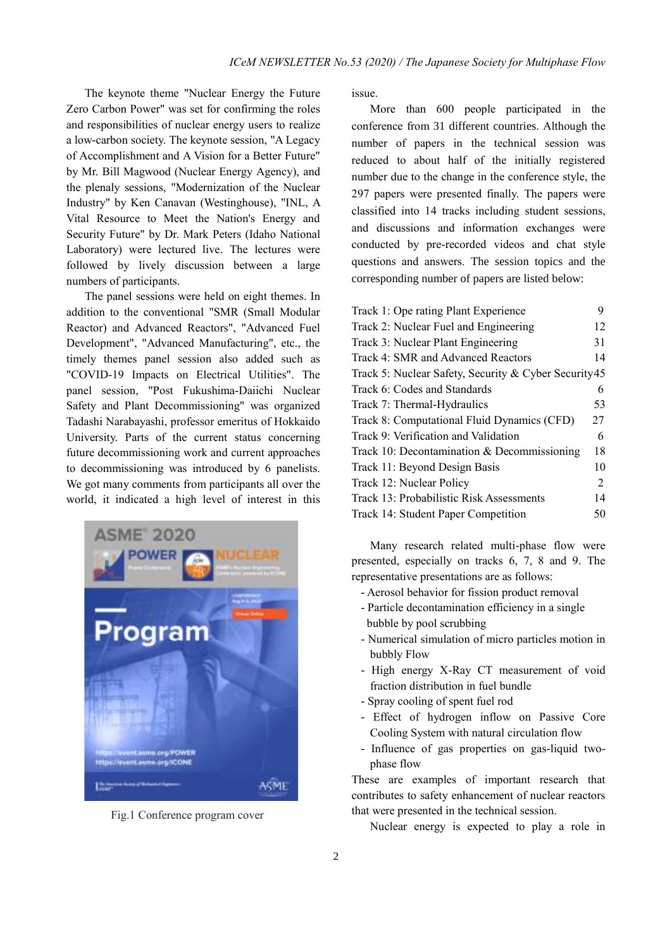The keynote theme "Nuclear Energy the Future Zero Carbon Power" was set for confirming the roles and responsibilities of nuclear energy users to realize a low-carbon society. The keynote session, "A Legacy of Accomplishment and A Vision for a Better Future" by Mr. Bill Magwood (Nuclear Energy Agency), and the plenaly sessions, "Modernization of the Nuclear Industry" by Ken Canavan (Westinghouse), "INL, A Vital Resource to Meet the Nation's Energy and Security Future" by Dr. Mark Peters (Idaho National Laboratory) were lectured live. The lectures were followed by lively discussion between a large numbers of participants.

The panel sessions were held on eight themes. In addition to the conventional "SMR (Small Modular Reactor) and Advanced Reactors", "Advanced Fuel Development", "Advanced Manufacturing", etc., the timely themes panel session also added such as "COVID-19 Impacts on Electrical Utilities". The panel session, "Post Fukushima-Daiichi Nuclear Safety and Plant Decommissioning" was organized Tadashi Narabayashi, professor emeritus of Hokkaido University. Parts of the current status concerning future decommissioning work and current approaches to decommissioning was introduced by 6 panelists. We got many comments from participants all over the world, it indicated a high level of interest in this



Fig.1 Conference program cover

issue.

More than 600 people participated in the conference from 31 different countries. Although the number of papers in the technical session was reduced to about half of the initially registered number due to the change in the conference style, the 297 papers were presented finally. The papers were classified into 14 tracks including student sessions, and discussions and information exchanges were conducted by pre-recorded videos and chat style questions and answers. The session topics and the corresponding number of papers are listed below:

| Track 1: Ope rating Plant Experience                  | Q  |
|-------------------------------------------------------|----|
| Track 2: Nuclear Fuel and Engineering                 | 12 |
| Track 3: Nuclear Plant Engineering                    | 31 |
| Track 4: SMR and Advanced Reactors                    | 14 |
| Track 5: Nuclear Safety, Security & Cyber Security 45 |    |
| Track 6: Codes and Standards                          | 6  |
| Track 7: Thermal-Hydraulics                           | 53 |
| Track 8: Computational Fluid Dynamics (CFD)           | 27 |
| Track 9: Verification and Validation                  | 6  |
| Track 10: Decontamination $&$ Decommissioning         | 18 |
| Track 11: Beyond Design Basis                         | 10 |
| Track 12: Nuclear Policy                              | 2  |
| Track 13: Probabilistic Risk Assessments              | 14 |
| Track 14: Student Paper Competition                   | 50 |

Many research related multi-phase flow were presented, especially on tracks 6, 7, 8 and 9. The representative presentations are as follows:

- Aerosol behavior for fission product removal
- Particle decontamination efficiency in a single bubble by pool scrubbing
- Numerical simulation of micro particles motion in bubbly Flow
- High energy X-Ray CT measurement of void fraction distribution in fuel bundle
- Spray cooling of spent fuel rod
- Effect of hydrogen inflow on Passive Core Cooling System with natural circulation flow
- Influence of gas properties on gas-liquid twophase flow

These are examples of important research that contributes to safety enhancement of nuclear reactors that were presented in the technical session.

Nuclear energy is expected to play a role in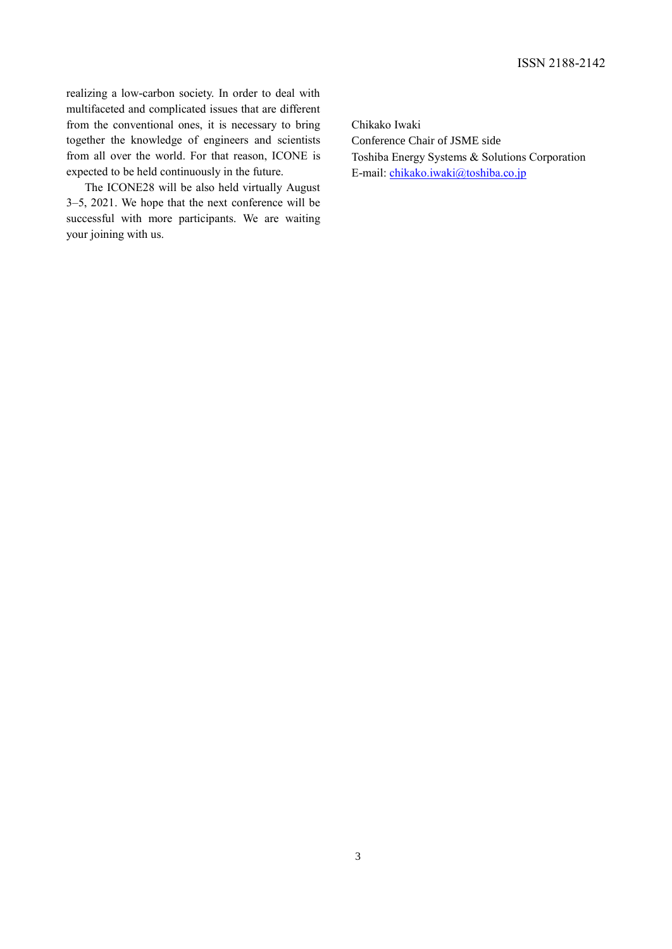realizing a low-carbon society. In order to deal with multifaceted and complicated issues that are different from the conventional ones, it is necessary to bring together the knowledge of engineers and scientists from all over the world. For that reason, ICONE is expected to be held continuously in the future.

The ICONE28 will be also held virtually August 3–5, 2021. We hope that the next conference will be successful with more participants. We are waiting your joining with us.

Chikako Iwaki Conference Chair of JSME side Toshiba Energy Systems & Solutions Corporation E-mail: [chikako.iwaki@toshiba.co.jp](mailto:chikako.iwaki@toshiba.co.jp)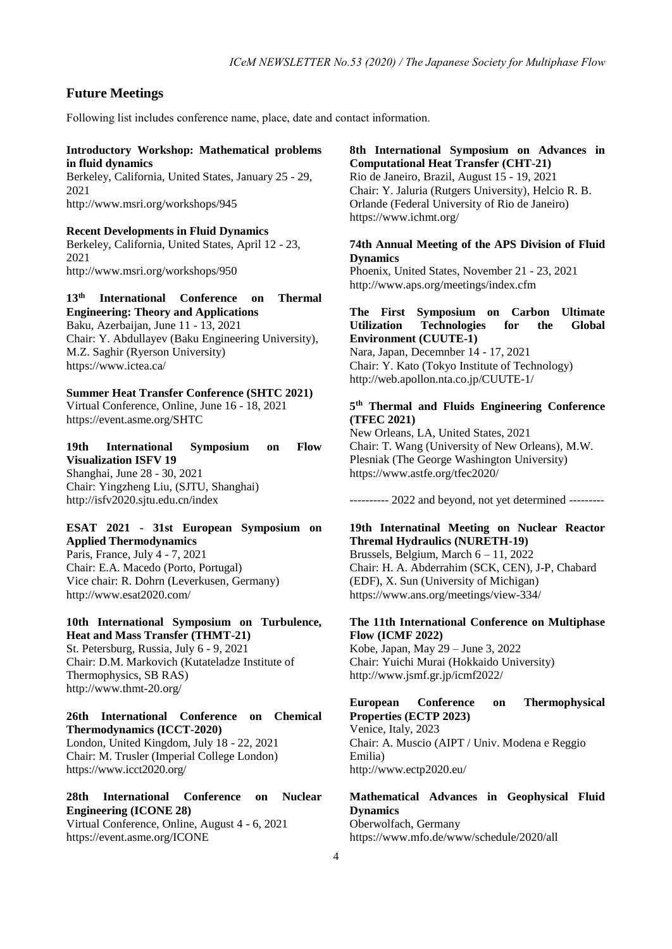## **Future Meetings**

Following list includes conference name, place, date and contact information.

#### **Introductory Workshop: Mathematical problems in fluid dynamics**

Berkeley, California, United States, January 25 - 29, 2021 http://www.msri.org/workshops/945

**Recent Developments in Fluid Dynamics** Berkeley, California, United States, April 12 - 23, 2021 http://www.msri.org/workshops/950

**13th International Conference on Thermal Engineering: Theory and Applications** Baku, Azerbaijan, June 11 - 13, 2021 Chair: Y. Abdullayev (Baku Engineering University), M.Z. Saghir (Ryerson University) https://www.ictea.ca/

## **Summer Heat Transfer Conference (SHTC 2021)**

Virtual Conference, Online, June 16 - 18, 2021 https://event.asme.org/SHTC

#### **19th International Symposium on Flow Visualization ISFV 19** Shanghai, June 28 - 30, 2021

Chair: Yingzheng Liu, (SJTU, Shanghai) http://isfv2020.sjtu.edu.cn/index

### **ESAT 2021 - 31st European Symposium on Applied Thermodynamics**

Paris, France, July 4 - 7, 2021 Chair: E.A. Macedo (Porto, Portugal) Vice chair: R. Dohrn (Leverkusen, Germany) http://www.esat2020.com/

## **10th International Symposium on Turbulence, Heat and Mass Transfer (THMT-21)**

St. Petersburg, Russia, July 6 - 9, 2021 Chair: D.M. Markovich (Kutateladze Institute of Thermophysics, SB RAS) http://www.thmt-20.org/

#### **26th International Conference on Chemical Thermodynamics (ICCT-2020)**

London, United Kingdom, July 18 - 22, 2021 Chair: M. Trusler (Imperial College London) https://www.icct2020.org/

### **28th International Conference on Nuclear Engineering (ICONE 28)** Virtual Conference, Online, August 4 - 6, 2021

https://event.asme.org/ICONE

**8th International Symposium on Advances in Computational Heat Transfer (CHT-21)**

Rio de Janeiro, Brazil, August 15 - 19, 2021 Chair: Y. Jaluria (Rutgers University), Helcio R. B. Orlande (Federal University of Rio de Janeiro) https://www.ichmt.org/

## **74th Annual Meeting of the APS Division of Fluid Dynamics**

Phoenix, United States, November 21 - 23, 2021 http://www.aps.org/meetings/index.cfm

#### **The First Symposium on Carbon Ultimate Utilization Technologies for the Global Environment (CUUTE-1)**

Nara, Japan, Decemnber 14 - 17, 2021 Chair: Y. Kato (Tokyo Institute of Technology) http://web.apollon.nta.co.jp/CUUTE-1/

### **5 th Thermal and Fluids Engineering Conference (TFEC 2021)**

New Orleans, LA, United States, 2021 Chair: T. Wang (University of New Orleans), M.W. Plesniak (The George Washington University) https://www.astfe.org/tfec2020/

---------- 2022 and beyond, not yet determined ---------

### **19th Internatinal Meeting on Nuclear Reactor Thremal Hydraulics (NURETH-19)**

Brussels, Belgium, March 6 – 11, 2022 Chair: H. A. Abderrahim (SCK, CEN), J-P, Chabard (EDF), X. Sun (University of Michigan) https://www.ans.org/meetings/view-334/

### **The 11th International Conference on Multiphase Flow (ICMF 2022)**

Kobe, Japan, May 29 – June 3, 2022 Chair: Yuichi Murai (Hokkaido University) http://www.jsmf.gr.jp/icmf2022/

#### **European Conference on Thermophysical Properties (ECTP 2023)**

Venice, Italy, 2023 Chair: A. Muscio (AIPT / Univ. Modena e Reggio Emilia) http://www.ectp2020.eu/

#### **Mathematical Advances in Geophysical Fluid Dynamics**

Oberwolfach, Germany https://www.mfo.de/www/schedule/2020/all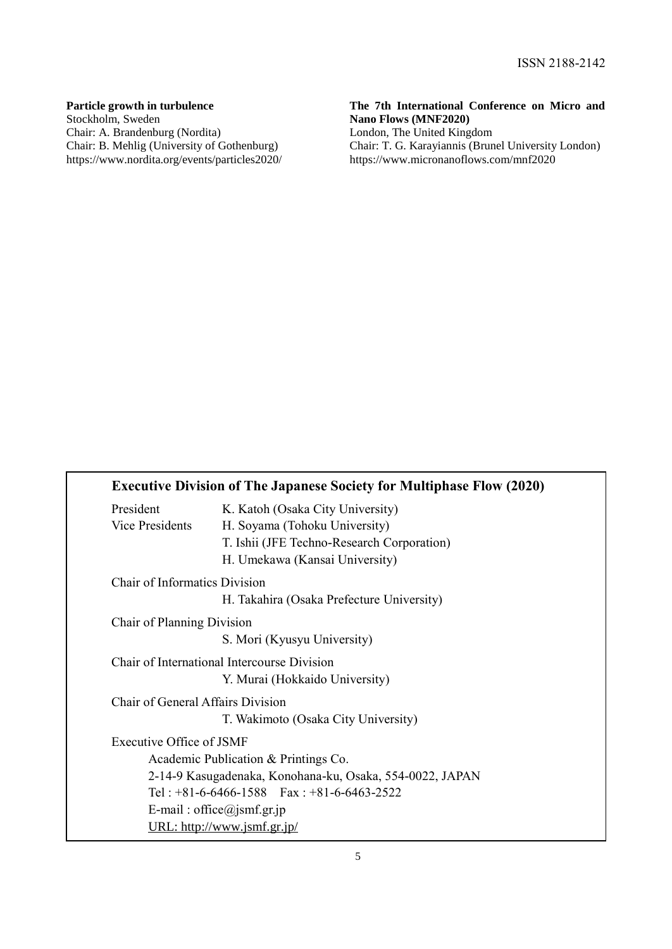### **Particle growth in turbulence**

Stockholm, Sweden Chair: A. Brandenburg (Nordita) Chair: B. Mehlig (University of Gothenburg) https://www.nordita.org/events/particles2020/

### **The 7th International Conference on Micro and Nano Flows (MNF2020)**

London, The United Kingdom Chair: T. G. Karayiannis (Brunel University London) https://www.micronanoflows.com/mnf2020

|                                   | <b>Executive Division of The Japanese Society for Multiphase Flow (2020)</b> |
|-----------------------------------|------------------------------------------------------------------------------|
| President                         | K. Katoh (Osaka City University)                                             |
| Vice Presidents                   | H. Soyama (Tohoku University)                                                |
|                                   | T. Ishii (JFE Techno-Research Corporation)                                   |
|                                   | H. Umekawa (Kansai University)                                               |
| Chair of Informatics Division     |                                                                              |
|                                   | H. Takahira (Osaka Prefecture University)                                    |
| Chair of Planning Division        |                                                                              |
|                                   | S. Mori (Kyusyu University)                                                  |
|                                   | Chair of International Intercourse Division                                  |
|                                   | Y. Murai (Hokkaido University)                                               |
| Chair of General Affairs Division |                                                                              |
|                                   | T. Wakimoto (Osaka City University)                                          |
| Executive Office of JSMF          |                                                                              |
|                                   | Academic Publication & Printings Co.                                         |
|                                   | 2-14-9 Kasugadenaka, Konohana-ku, Osaka, 554-0022, JAPAN                     |
|                                   | Tel: $+81-6-6466-1588$ Fax: $+81-6-6463-2522$                                |
|                                   | E-mail: office@jsmf.gr.jp                                                    |
|                                   | URL: http://www.jsmf.gr.jp/                                                  |